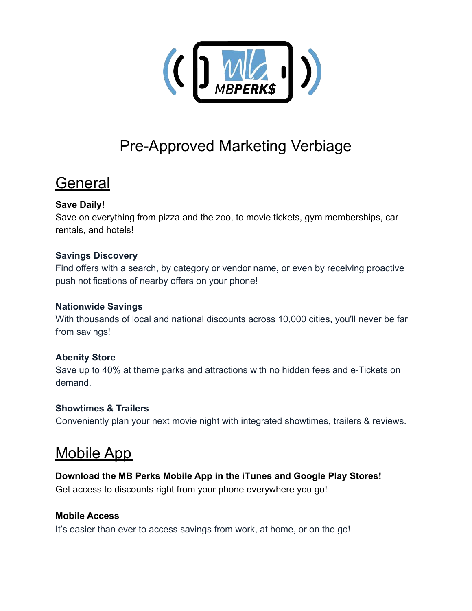

# Pre-Approved Marketing Verbiage

# **General**

# **Save Daily!**

Save on everything from pizza and the zoo, to movie tickets, gym memberships, car rentals, and hotels!

#### **Savings Discovery**

Find offers with a search, by category or vendor name, or even by receiving proactive push notifications of nearby offers on your phone!

#### **Nationwide Savings**

With thousands of local and national discounts across 10,000 cities, you'll never be far from savings!

#### **Abenity Store**

Save up to 40% at theme parks and attractions with no hidden fees and e-Tickets on demand.

#### **Showtimes & Trailers**

Conveniently plan your next movie night with integrated showtimes, trailers & reviews.

# Mobile App

# **Download the MB Perks Mobile App in the iTunes and Google Play Stores!**

Get access to discounts right from your phone everywhere you go!

#### **Mobile Access**

It's easier than ever to access savings from work, at home, or on the go!